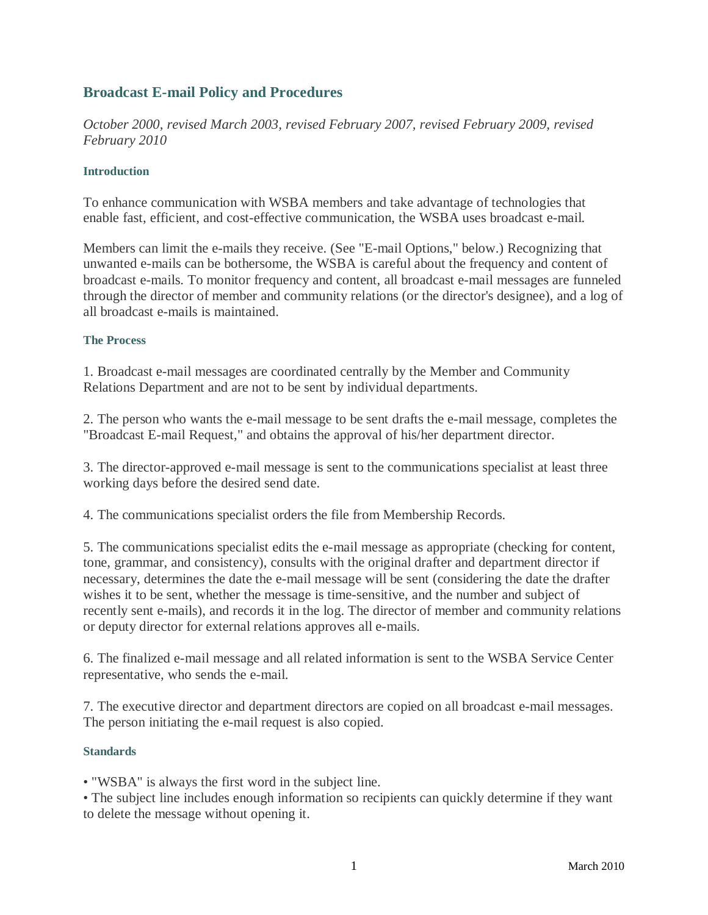# **Broadcast E-mail Policy and Procedures**

*October 2000, revised March 2003, revised February 2007, revised February 2009, revised February 2010*

## **Introduction**

To enhance communication with WSBA members and take advantage of technologies that enable fast, efficient, and cost-effective communication, the WSBA uses broadcast e-mail.

Members can limit the e-mails they receive. (See "E-mail Options," below.) Recognizing that unwanted e-mails can be bothersome, the WSBA is careful about the frequency and content of broadcast e-mails. To monitor frequency and content, all broadcast e-mail messages are funneled through the director of member and community relations (or the director's designee), and a log of all broadcast e-mails is maintained.

# **The Process**

1. Broadcast e-mail messages are coordinated centrally by the Member and Community Relations Department and are not to be sent by individual departments.

2. The person who wants the e-mail message to be sent drafts the e-mail message, completes the "Broadcast E-mail Request," and obtains the approval of his/her department director.

3. The director-approved e-mail message is sent to the communications specialist at least three working days before the desired send date.

4. The communications specialist orders the file from Membership Records.

5. The communications specialist edits the e-mail message as appropriate (checking for content, tone, grammar, and consistency), consults with the original drafter and department director if necessary, determines the date the e-mail message will be sent (considering the date the drafter wishes it to be sent, whether the message is time-sensitive, and the number and subject of recently sent e-mails), and records it in the log. The director of member and community relations or deputy director for external relations approves all e-mails.

6. The finalized e-mail message and all related information is sent to the WSBA Service Center representative, who sends the e-mail.

7. The executive director and department directors are copied on all broadcast e-mail messages. The person initiating the e-mail request is also copied.

#### **Standards**

• "WSBA" is always the first word in the subject line.

• The subject line includes enough information so recipients can quickly determine if they want to delete the message without opening it.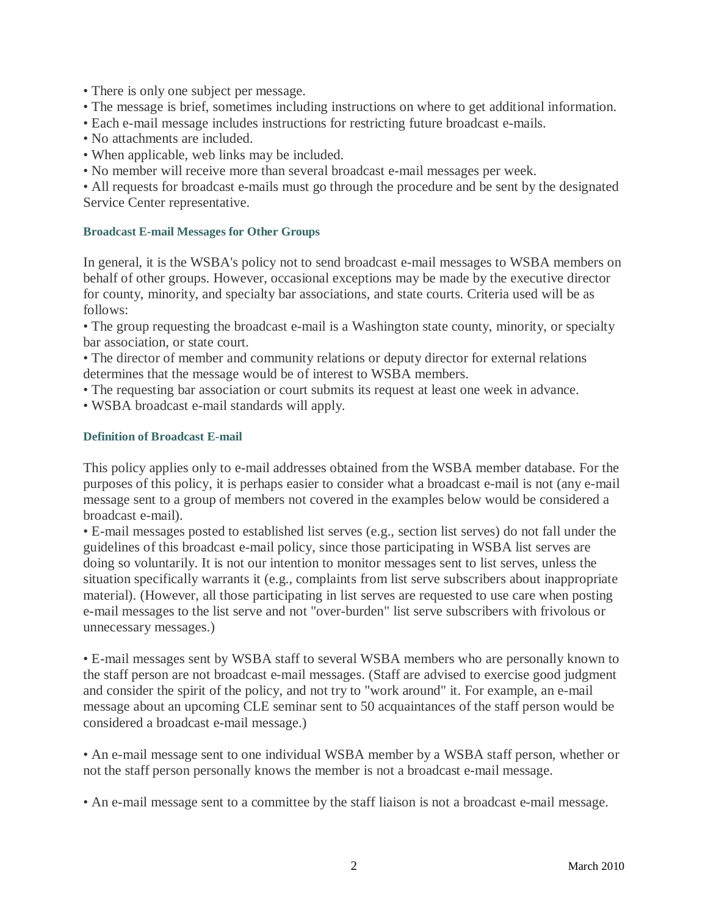- There is only one subject per message.
- The message is brief, sometimes including instructions on where to get additional information.
- Each e-mail message includes instructions for restricting future broadcast e-mails.
- No attachments are included.
- When applicable, web links may be included.
- No member will receive more than several broadcast e-mail messages per week.

• All requests for broadcast e-mails must go through the procedure and be sent by the designated Service Center representative.

#### **Broadcast E-mail Messages for Other Groups**

In general, it is the WSBA's policy not to send broadcast e-mail messages to WSBA members on behalf of other groups. However, occasional exceptions may be made by the executive director for county, minority, and specialty bar associations, and state courts. Criteria used will be as follows:

• The group requesting the broadcast e-mail is a Washington state county, minority, or specialty bar association, or state court.

• The director of member and community relations or deputy director for external relations determines that the message would be of interest to WSBA members.

- The requesting bar association or court submits its request at least one week in advance.
- WSBA broadcast e-mail standards will apply.

#### **Definition of Broadcast E-mail**

This policy applies only to e-mail addresses obtained from the WSBA member database. For the purposes of this policy, it is perhaps easier to consider what a broadcast e-mail is not (any e-mail message sent to a group of members not covered in the examples below would be considered a broadcast e-mail).

• E-mail messages posted to established list serves (e.g., section list serves) do not fall under the guidelines of this broadcast e-mail policy, since those participating in WSBA list serves are doing so voluntarily. It is not our intention to monitor messages sent to list serves, unless the situation specifically warrants it (e.g., complaints from list serve subscribers about inappropriate material). (However, all those participating in list serves are requested to use care when posting e-mail messages to the list serve and not "over-burden" list serve subscribers with frivolous or unnecessary messages.)

• E-mail messages sent by WSBA staff to several WSBA members who are personally known to the staff person are not broadcast e-mail messages. (Staff are advised to exercise good judgment and consider the spirit of the policy, and not try to "work around" it. For example, an e-mail message about an upcoming CLE seminar sent to 50 acquaintances of the staff person would be considered a broadcast e-mail message.)

• An e-mail message sent to one individual WSBA member by a WSBA staff person, whether or not the staff person personally knows the member is not a broadcast e-mail message.

• An e-mail message sent to a committee by the staff liaison is not a broadcast e-mail message.